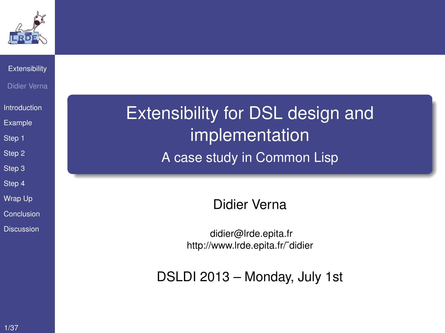

#### **[Extensibility](#page-19-0)** Didier Verna

[Introduction](#page-1-0)

[Example](#page-2-0)

[Step 1](#page-5-0)

[Step 2](#page-7-0)

[Step 3](#page-9-0)

[Step 4](#page-11-0)

[Wrap Up](#page-14-0)

[Conclusion](#page-16-0)

<span id="page-0-0"></span>**[Discussion](#page-17-0)** 

Extensibility for DSL design and implementation A case study in Common Lisp

Didier Verna

[didier@lrde.epita.fr](mailto:didier@lrde.epita.fr) [http://www.lrde.epita.fr/˜didier](http://www.lrde.epita.fr/~didier)

DSLDI 2013 – Monday, July 1st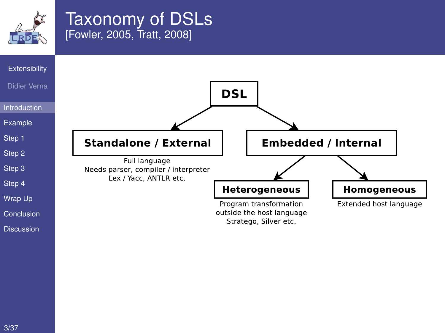

## Taxonomy of DSLs [\[Fowler, 2005,](#page-22-0) [Tratt, 2008\]](#page-27-0)

<span id="page-1-0"></span>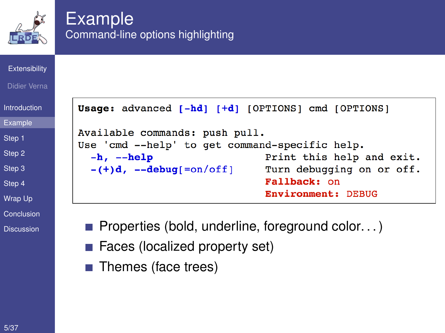

## Example Command-line options highlighting

#### **[Extensibility](#page-0-0)**

#### Didier Verna

| Introduction   |
|----------------|
| <b>Example</b> |
| Step 1         |
| Step 2         |

[Step 3](#page-9-0)

[Step 4](#page-11-0)

[Wrap Up](#page-14-0)

[Conclusion](#page-16-0)

<span id="page-2-0"></span>**[Discussion](#page-17-0)** 

Usage: advanced [-hd] [+d] [OPTIONS] cmd [OPTIONS] Available commands: push pull. Use 'cmd --help' to get command-specific help.  $-h$ ,  $-help$ Print this help and exit.  $-(+)d, --debug[=on/off]$ Turn debugging on or off. Fallback: on **Environment: DEBUG** 

 $\blacksquare$  Properties (bold, underline, foreground color...)

- Faces (localized property set)
- **■** Themes (face trees)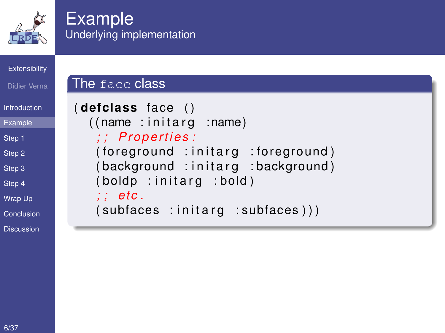

## Example Underlying implementation

The face class

#### **[Extensibility](#page-0-0)**

```
Didier Verna
```

```
Introduction
```
**[Example](#page-2-0)** 

[Step 1](#page-5-0)

[Step 2](#page-7-0)

[Step 3](#page-9-0)

[Step 4](#page-11-0)

[Wrap Up](#page-14-0)

[Conclusion](#page-16-0)

**[Discussion](#page-17-0)** 

```
( de fclass fa ce ( )
  ((name:initarg:name)); ; P r o p e rt i e s :
   (foreground : initarg : foreground)
   (background : initarg : background)
   (boldp :initarg :bold); ; et c .
   (subfaces :initarg :subfaces))
```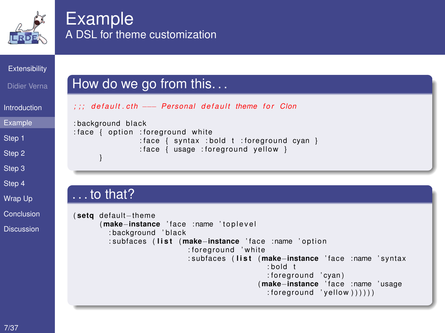

## **Example** A DSL for theme customization

#### **[Extensibility](#page-0-0)**

- Didier Verna
- **[Introduction](#page-1-0)**
- [Example](#page-2-0)
- [Step 1](#page-5-0)
- [Step 2](#page-7-0)
- [Step 3](#page-9-0)
- [Step 4](#page-11-0)
- [Wrap Up](#page-14-0)
- [Conclusion](#page-16-0)
- **[Discussion](#page-17-0)**

#### How do we go from this. . .

- *; ; ; d e f a u l t . ct h* −−− *Pe rsonal d e f a u l t theme f o r Clon*
	- : background black : face { option : foreground white : face  $\{$  syntax : bold t : foreground cyan  $\}$  $:$  face  $\{$  usage : foreground yellow  $\}$ }
	- . . . to that?

```
( setq default−theme
      ( make−instance ' fa ce : name ' t o p l e v e l
         : background 'black
         : subfaces (list (make-instance 'face :name 'option
                              : foreground 'white
                              : subfaces ( l i s t ( make−instance ' fa ce : name ' s ynta x
                                                   : bold t
                                                   : fo reg round ' cyan )
                                                 ( make−instance ' fa ce : name ' usage
                                                   : foreground 'vellow )))))
```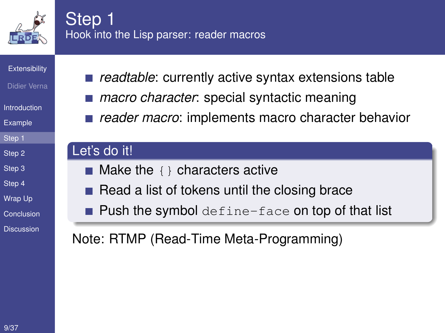

## Step<sub>1</sub> Hook into the Lisp parser: reader macros

**[Extensibility](#page-0-0)** 

- Didier Verna
- [Introduction](#page-1-0)
- [Example](#page-2-0)
- [Step 1](#page-5-0)
- [Step 2](#page-7-0)
- [Step 3](#page-9-0)
- [Step 4](#page-11-0)
- [Wrap Up](#page-14-0)
- [Conclusion](#page-16-0)
- <span id="page-5-0"></span>**[Discussion](#page-17-0)**
- readtable: currently active syntax extensions table
- *macro character*: special syntactic meaning
- *reader macro*: implements macro character behavior

#### Let's do it!

- $\blacksquare$  Make the  $\{ \}$  characters active
- Read a list of tokens until the closing brace
- $\blacksquare$  Push the symbol define-face on top of that list

Note: RTMP (Read-Time Meta-Programming)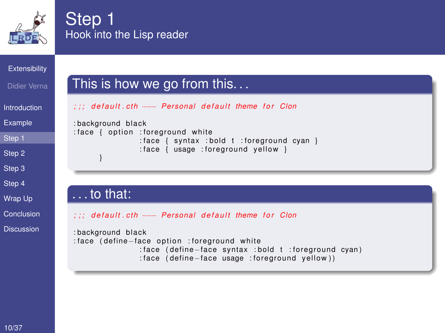

## Step 1 Hook into the Lisp reader

#### **[Extensibility](#page-0-0)**

#### Didier Verna

```
Introduction
```
[Example](#page-2-0)

[Step 1](#page-5-0)

[Step 2](#page-7-0)

[Step 3](#page-9-0)

[Step 4](#page-11-0)

[Wrap Up](#page-14-0)

[Conclusion](#page-16-0)

**[Discussion](#page-17-0)** 

#### This is how we go from this. . .

*; ; ; d e f a u l t . ct h* −−− *Pe rsonal d e f a u l t theme f o r Clon*

: background black : face { option : foreground white : face  $\{$  syntax : bold t : foreground cyan  $\}$  $:$  face  $\{$  usage : foreground yellow  $\}$ }

#### . . . to that:

```
; ; ; d e f a u l t . ct h −−− Pe rsonal d e f a u l t theme f o r Clon
```

```
: background black
: fa ce ( define−fa ce o pt i o n : fo reg round wh ite
```

```
: fa ce ( define−fa ce s ynta x : bold t : fo reg round cyan )
: face ( define - face usage : foreground yellow))
```
10/37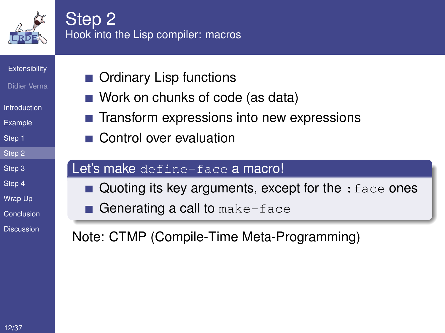

### Step 2 Hook into the Lisp compiler: macros

**[Extensibility](#page-0-0)** 

- Didier Verna
- [Introduction](#page-1-0)
- [Example](#page-2-0)
- [Step 1](#page-5-0)
- [Step 2](#page-7-0)
- [Step 3](#page-9-0)
- [Step 4](#page-11-0)
- [Wrap Up](#page-14-0)
- [Conclusion](#page-16-0)
- <span id="page-7-0"></span>**[Discussion](#page-17-0)**
- Ordinary Lisp functions
- Work on chunks of code (as data)
- Transform expressions into new expressions
- Control over evaluation

#### Let's make define-face a macro!

- Quoting its key arguments, except for the  $:$  face ones
- Generating a call to make-face

Note: CTMP (Compile-Time Meta-Programming)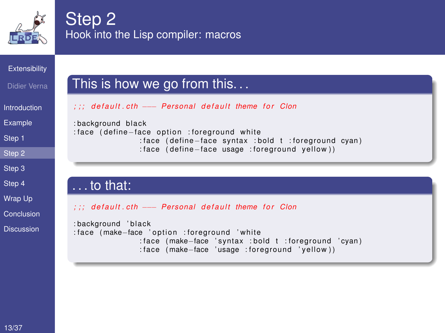

## Step 2 Hook into the Lisp compiler: macros

#### **[Extensibility](#page-0-0)**

#### Didier Verna

- **[Introduction](#page-1-0)**
- [Example](#page-2-0)
- 
- [Step 1](#page-5-0)
- [Step 2](#page-7-0)
- [Step 3](#page-9-0)
- [Step 4](#page-11-0)
- [Wrap Up](#page-14-0)
- [Conclusion](#page-16-0)
- **[Discussion](#page-17-0)**

#### This is how we go from this. . .

- *; ; ; d e f a u l t . ct h* −−− *Pe rsonal d e f a u l t theme f o r Clon*
- : background black : face (define–face option : foreground white
	- : face ( define-face syntax : bold t : foreground cyan)
		- : face ( define face usage : foreground yellow))

#### . . . to that:

*; ; ; d e f a u l t . ct h* −−− *Pe rsonal d e f a u l t theme f o r Clon*

```
: background 'black
: face (make–face 'option : foreground 'white
                 : fa ce ( make−face ' s ynta x : bold t : fo reg round ' cyan )
                 : face (make–face 'usage : foreground 'yellow))
```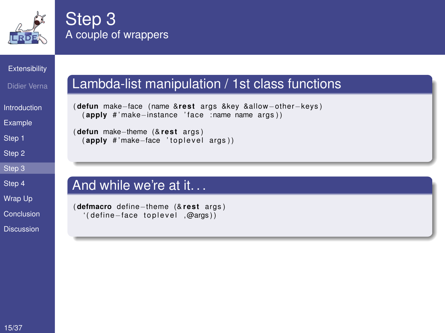

## Step 3 A couple of wrappers

#### **[Extensibility](#page-0-0)**

- Didier Verna
- **[Introduction](#page-1-0)**
- [Example](#page-2-0)
- [Step 1](#page-5-0)
- [Step 2](#page-7-0)
- [Step 3](#page-9-0)
- [Step 4](#page-11-0)
- [Wrap Up](#page-14-0)
- [Conclusion](#page-16-0)
- <span id="page-9-0"></span>**[Discussion](#page-17-0)**

## Lambda-list manipulation / 1st class functions

```
( defun make-face (name & rest args & key & allow-other-keys)
  ( apply # ' make−instance ' fa ce : name name a rgs ) )
```

```
( defun make-theme (& rest args)
 (apply #'make−face 'toplevel args))
```
#### And while we're at it. . .

```
( defmacro define-theme (& rest args)
  ' ( define−face toplevel .@args ))
```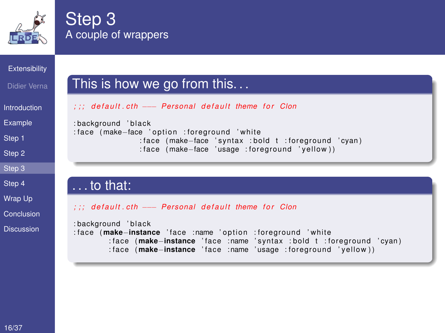

## Step 3 A couple of wrappers

#### **[Extensibility](#page-0-0)**

#### Didier Verna

- **[Introduction](#page-1-0)**
- [Example](#page-2-0)
- 
- [Step 1](#page-5-0)
- [Step 2](#page-7-0)
- [Step 3](#page-9-0)
- [Step 4](#page-11-0)
- [Wrap Up](#page-14-0)
- [Conclusion](#page-16-0)
- **[Discussion](#page-17-0)**

#### This is how we go from this. . .

- *; ; ; d e f a u l t . ct h* −−− *Pe rsonal d e f a u l t theme f o r Clon*
- : background 'black : face (make–face 'option : foreground 'white : face (make–face 's vntax : bold t : foreground 'cvan) : face (make–face 'usage : foreground 'yellow))

#### . . . to that:

#### *; ; ; d e f a u l t . ct h* −−− *Pe rsonal d e f a u l t theme f o r Clon*

```
: background 'black
: fa ce ( make−instance ' fa ce : name ' o pt i o n : fo reg round ' wh ite
         : fa ce ( make−instance ' fa ce : name ' s ynta x : bold t : fo reg round ' cyan )
         : fa ce ( make−instance ' fa ce : name ' usage : fo reg round ' y e l l ow ) )
```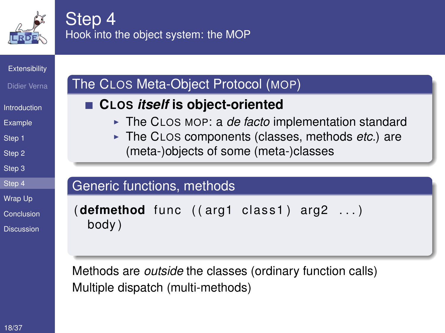

## Step 4 Hook into the object system: the MOP

#### **[Extensibility](#page-0-0)**

- Didier Verna
- **[Introduction](#page-1-0)**
- [Example](#page-2-0)
- [Step 1](#page-5-0)
- [Step 2](#page-7-0)
- [Step 3](#page-9-0)
- [Step 4](#page-11-0)
- [Wrap Up](#page-14-0)
- [Conclusion](#page-16-0)
- **[Discussion](#page-17-0)**

## The CLOS Meta-Object Protocol (MOP)

### ■ CLOS *itself* is object-oriented

- The CLOS MOP: a *de facto* implementation standard
- ► The CLOS components (classes, methods *etc.*) are (meta-)objects of some (meta-)classes

### Generic functions, methods

```
(\text{defined func } ((\text{arg1 class 1}) \text{ arg2 } ...)body )
```
<span id="page-11-0"></span>Methods are *outside* the classes (ordinary function calls) Multiple dispatch (multi-methods)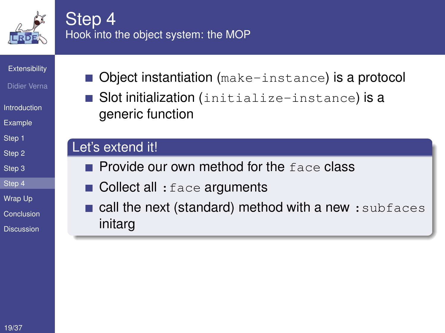

## Step<sub>4</sub> Hook into the object system: the MOP

**[Extensibility](#page-0-0)** 

- Didier Verna
- [Introduction](#page-1-0)
- [Example](#page-2-0)
- [Step 1](#page-5-0)
- [Step 2](#page-7-0)
- [Step 3](#page-9-0)
- [Step 4](#page-11-0)
- [Wrap Up](#page-14-0)
- [Conclusion](#page-16-0)
- **[Discussion](#page-17-0)**
- $\blacksquare$  Object instantiation (make-instance) is a protocol
- Slot initialization (initialize-instance) is a generic function

#### Let's extend it!

- $\blacksquare$  Provide our own method for the  $face$  class
- $\blacksquare$  Collect all : face arguments
- call the next (standard) method with a new : subfaces initarg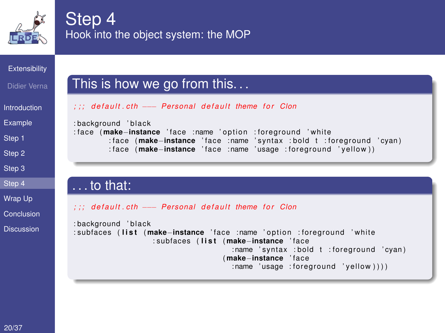

## Step 4 Hook into the object system: the MOP

#### **[Extensibility](#page-0-0)**

- Didier Verna
- **[Introduction](#page-1-0)**
- [Example](#page-2-0)
- [Step 1](#page-5-0)
- [Step 2](#page-7-0)
- [Step 3](#page-9-0)
- [Step 4](#page-11-0)
- [Wrap Up](#page-14-0)
- [Conclusion](#page-16-0)
- **[Discussion](#page-17-0)**

## This is how we go from this. . .

*; ; ; d e f a u l t . ct h* −−− *Pe rsonal d e f a u l t theme f o r Clon*

#### : background 'black

: fa ce ( **make**−**instance** ' fa ce : name ' o pt i o n : fo reg round ' wh ite : fa ce ( **make**−**instance** ' fa ce : name ' s ynta x : bold t : fo reg round ' cyan ) : fa ce ( **make**−**instance** ' fa ce : name ' usage : fo reg round ' y e l l ow ) )

#### . . . to that:

*; ; ; d e f a u l t . ct h* −−− *Pe rsonal d e f a u l t theme f o r Clon*

```
: background 'black
: subfaces ( l i s t ( make−instance ' fa ce : name ' o pt i o n : fo reg round ' wh ite
                     : subfaces ( l i s t ( make−instance ' fa ce
                                          : name 'syntax : bold t : foreground 'cyan)
                                       ( make−instance ' fa ce
                                          : name'usaae : forearound'vel(ow)))
```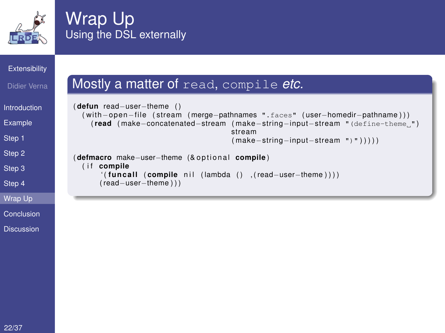

## Wrap Up Using the DSL externally

( read−user−theme ) ) )

#### **[Extensibility](#page-0-0)**

#### Didier Verna

```
Introduction
```
[Example](#page-2-0)

[Step 1](#page-5-0)

[Step 2](#page-7-0)

[Step 3](#page-9-0)

[Step 4](#page-11-0)

[Wrap Up](#page-14-0)

[Conclusion](#page-16-0)

<span id="page-14-0"></span>**[Discussion](#page-17-0)** 

#### Mostly a matter of read, compile *etc.*

```
( defun read−user−theme ( )
  ( with−open−file ( stream ( merge−pathnames ".faces" ( user−homedir−pathname ) ) )
    (read ( make−concatenated−stream ( make−string−input−stream "(define-theme ")
                                       stream
                                       ( make−string−input−stream ")" ) ) ) ) )
( defmacro make–user–theme (& optional compile)
  (if compile
      ( (funcall ( compile nil ( lambda ( ) , ( read-user-theme ) ) )
```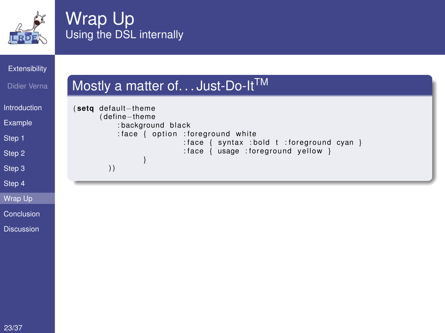

## Wrap Up Using the DSL internally

Mostly a matter of... Just-Do-It<sup>TM</sup>

#### **[Extensibility](#page-0-0)**

#### Didier Verna

#### [Introduction](#page-1-0)

[Example](#page-2-0)

[Step 1](#page-5-0)

[Step 2](#page-7-0)

[Step 3](#page-9-0)

[Step 4](#page-11-0)

[Wrap Up](#page-14-0)

[Conclusion](#page-16-0)

**[Discussion](#page-17-0)** 

#### ( **setq** default−theme ( define−theme : background black : face { option : foreground white  $:$  face { syntax : bold t : foreground cyan }  $:$  face  $\{$  usage : foreground yellow  $\}$ } ) )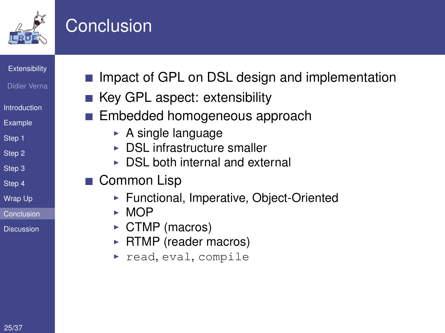

## **Conclusion**

**[Extensibility](#page-0-0)** 

- Didier Verna
- [Introduction](#page-1-0)
- [Example](#page-2-0)
- [Step 1](#page-5-0)
- [Step 2](#page-7-0)
- [Step 3](#page-9-0)
- [Step 4](#page-11-0)
- [Wrap Up](#page-14-0)
- [Conclusion](#page-16-0)
- <span id="page-16-0"></span>**[Discussion](#page-17-0)**
- Impact of GPL on DSL design and implementation
- $\blacksquare$  Key GPL aspect: extensibility
- **Embedded homogeneous approach** 
	- $\triangleright$  A single language
	- $\triangleright$  DSL infrastructure smaller
	- $\triangleright$  DSL both internal and external
- Common Lisp
	- ▶ Functional, Imperative, Object-Oriented
	- $\triangleright$  MOP
	- $\triangleright$  CTMP (macros)
	- $\triangleright$  RTMP (reader macros)
	- $\triangleright$  read, eval, compile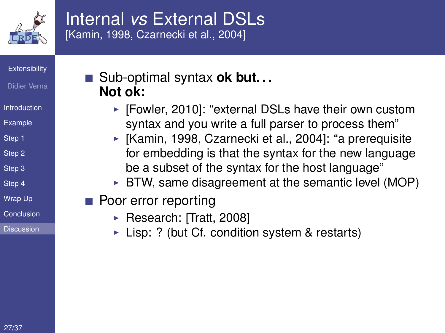

## Internal *vs* External DSLs [\[Kamin, 1998,](#page-23-0) [Czarnecki et al., 2004\]](#page-20-0)

**[Extensibility](#page-0-0)** 

- Didier Verna
- [Introduction](#page-1-0)
- [Example](#page-2-0)
- [Step 1](#page-5-0)
- [Step 2](#page-7-0)
- [Step 3](#page-9-0)
- [Step 4](#page-11-0)
- [Wrap Up](#page-14-0)
- [Conclusion](#page-16-0)
- <span id="page-17-0"></span>[Discussion](#page-17-0)

## ■ Sub-optimal syntax **ok but... Not ok:**

- $\triangleright$  [\[Fowler, 2010\]](#page-22-1): "external DSLs have their own custom syntax and you write a full parser to process them"
- $\blacktriangleright$  [\[Kamin, 1998,](#page-23-0) [Czarnecki et al., 2004\]](#page-20-0): "a prerequisite for embedding is that the syntax for the new language be a subset of the syntax for the host language"
- $\triangleright$  BTW, same disagreement at the semantic level (MOP)
- **Poor error reporting** 
	- ▶ Research: [\[Tratt, 2008\]](#page-27-0)
	- $\triangleright$  Lisp: ? (but Cf. condition system & restarts)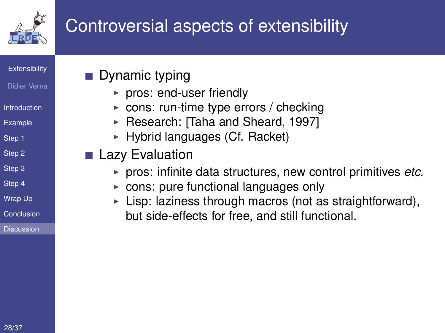

# Controversial aspects of extensibility

**[Extensibility](#page-0-0)** 

- Didier Verna
- **[Introduction](#page-1-0)**
- [Example](#page-2-0)
- [Step 1](#page-5-0)
- [Step 2](#page-7-0)
- [Step 3](#page-9-0)
- [Step 4](#page-11-0)
- [Wrap Up](#page-14-0)
- [Conclusion](#page-16-0)
- [Discussion](#page-17-0)
- **Dynamic typing** 
	- $\triangleright$  pros: end-user friendly
	- $\triangleright$  cons: run-time type errors / checking
	- ► Research: [\[Taha and Sheard, 1997\]](#page-26-0)
	- $\blacktriangleright$  Hybrid languages (Cf. Racket)
- **Lazy Evaluation** 
	- ► pros: infinite data structures, new control primitives *etc.*
	- $\triangleright$  cons: pure functional languages only
	- $\triangleright$  Lisp: laziness through macros (not as straightforward), but side-effects for free, and still functional.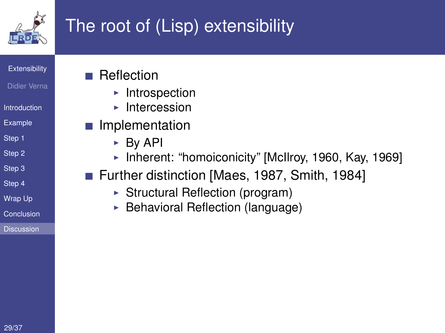

# The root of (Lisp) extensibility

**[Extensibility](#page-0-0)** 

- Didier Verna
- **[Introduction](#page-1-0)**
- [Example](#page-2-0)
- [Step 1](#page-5-0)
- [Step 2](#page-7-0)
- [Step 3](#page-9-0)
- [Step 4](#page-11-0)
- [Wrap Up](#page-14-0)
- [Conclusion](#page-16-0)
- <span id="page-19-0"></span>**[Discussion](#page-17-0)**
- Reflection
	- $\blacktriangleright$  Introspection
	- $\blacktriangleright$  Intercession
- Implementation
	- $\triangleright$  By API
	- Inherent: "homoiconicity" [\[McIlroy, 1960,](#page-24-0) [Kay, 1969\]](#page-23-1)
- Further distinction [\[Maes, 1987,](#page-24-1) [Smith, 1984\]](#page-26-1)
	- $\triangleright$  Structural Reflection (program)
	- $\triangleright$  Behavioral Reflection (language)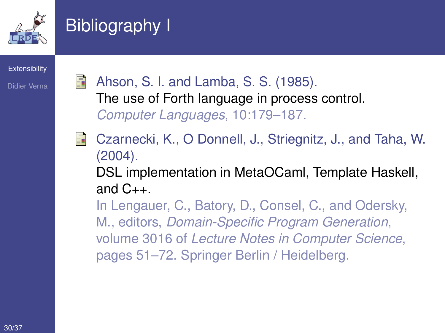

# Bibliography I

**[Extensibility](#page-0-0)** 

Didier Verna

<span id="page-20-0"></span>Ahson, S. I. and Lamba, S. S. (1985). The use of Forth language in process control. *Computer Languages*, 10:179–187. Czarnecki, K., O Donnell, J., Striegnitz, J., and Taha, W. (2004). DSL implementation in MetaOCaml, Template Haskell, and  $C_{++}$ .

In Lengauer, C., Batory, D., Consel, C., and Odersky, M., editors, *Domain-Specific Program Generation*, volume 3016 of *Lecture Notes in Computer Science*, pages 51–72. Springer Berlin / Heidelberg.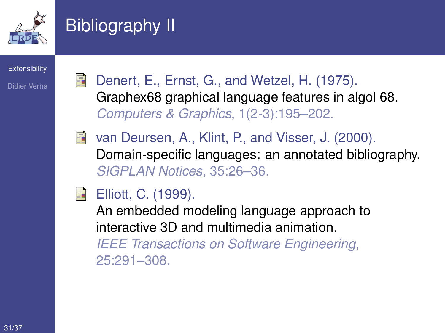

# Bibliography II

**[Extensibility](#page-0-0)** 

Didier Verna

Denert, E., Ernst, G., and Wetzel, H. (1975). Graphex68 graphical language features in algol 68. *Computers & Graphics*, 1(2-3):195–202.



van Deursen, A., Klint, P., and Visser, J. (2000). Domain-specific languages: an annotated bibliography. *SIGPLAN Notices*, 35:26–36.

**Elliott, C. (1999).** 

An embedded modeling language approach to interactive 3D and multimedia animation.

*IEEE Transactions on Software Engineering*, 25:291–308.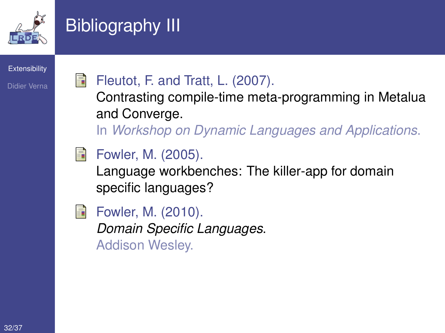

# Bibliography III

**[Extensibility](#page-0-0)** 

Didier Verna

## Fleutot, F. and Tratt, L. (2007).

Contrasting compile-time meta-programming in Metalua and Converge.

In *Workshop on Dynamic Languages and Applications*.

<span id="page-22-0"></span>

Language workbenches: The killer-app for domain specific languages?

<span id="page-22-1"></span>

Fowler, M. (2010). *Domain Specific Languages*. Addison Wesley.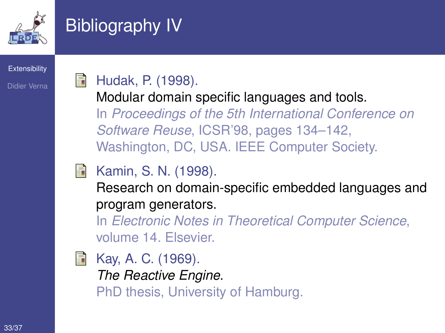

# Bibliography IV

#### **[Extensibility](#page-0-0)**

Didier Verna

## Hudak, P. (1998).

Modular domain specific languages and tools. In *Proceedings of the 5th International Conference on Software Reuse*, ICSR'98, pages 134–142, Washington, DC, USA. IEEE Computer Society.

## <span id="page-23-0"></span>Kamin, S. N. (1998).

Research on domain-specific embedded languages and program generators.

In *Electronic Notes in Theoretical Computer Science*, volume 14. Elsevier.

<span id="page-23-1"></span>Kay, A. C. (1969). *The Reactive Engine*. PhD thesis, University of Hamburg.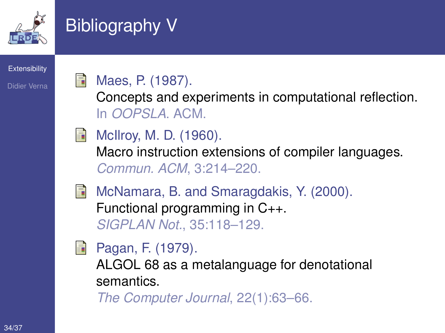

# Bibliography V

#### **[Extensibility](#page-0-0)**

Didier Verna

## <span id="page-24-1"></span>Maes, P. (1987).

Concepts and experiments in computational reflection. In *OOPSLA*. ACM.

<span id="page-24-0"></span>

**McIlroy, M. D. (1960).** 

Macro instruction extensions of compiler languages. *Commun. ACM*, 3:214–220.

- 
- McNamara, B. and Smaragdakis, Y. (2000). Functional programming in C++. *SIGPLAN Not.*, 35:118–129.
- **Pagan, F. (1979).**

ALGOL 68 as a metalanguage for denotational semantics.

*The Computer Journal*, 22(1):63–66.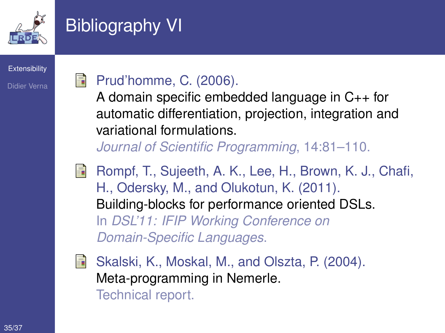

# Bibliography VI

**[Extensibility](#page-0-0)** 

Didier Verna

## Prud'homme, C. (2006).

A domain specific embedded language in C++ for automatic differentiation, projection, integration and variational formulations.

*Journal of Scientific Programming*, 14:81–110.

- Rompf, T., Sujeeth, A. K., Lee, H., Brown, K. J., Chafi, H., Odersky, M., and Olukotun, K. (2011). Building-blocks for performance oriented DSLs. In *DSL'11: IFIP Working Conference on Domain-Specific Languages*.
- Skalski, K., Moskal, M., and Olszta, P. (2004). Meta-programming in Nemerle. Technical report.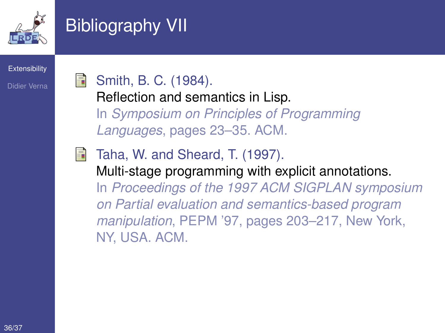

# Bibliography VII

#### **[Extensibility](#page-0-0)**

Didier Verna

## <span id="page-26-1"></span>Smith, B. C. (1984).

Reflection and semantics in Lisp. In *Symposium on Principles of Programming Languages*, pages 23–35. ACM.

<span id="page-26-0"></span>Taha, W. and Sheard, T. (1997). Multi-stage programming with explicit annotations. In *Proceedings of the 1997 ACM SIGPLAN symposium on Partial evaluation and semantics-based program manipulation*, PEPM '97, pages 203–217, New York, NY, USA. ACM.